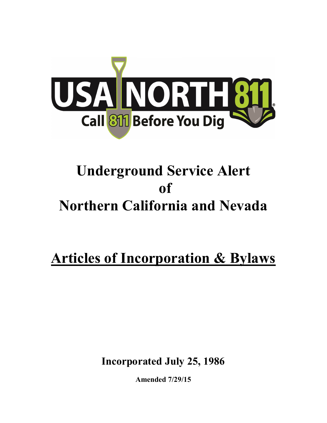

# Underground Service Alert of Northern California and Nevada

Articles of Incorporation & Bylaws

Incorporated July 25, 1986

Amended 7/29/15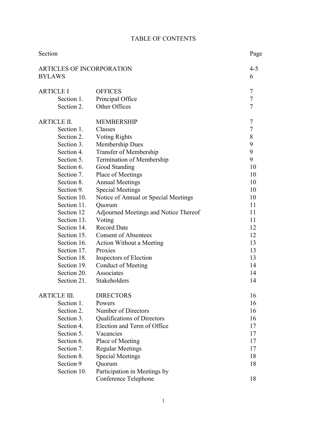|  | <b>TABLE OF CONTENTS</b> |
|--|--------------------------|
|--|--------------------------|

| <b>ARTICLES OF INCORPORATION</b><br>$4 - 5$<br><b>BYLAWS</b><br>6<br><b>OFFICES</b><br>7<br>7<br>Principal Office<br>Section 1.<br>$\overline{7}$<br>Other Offices<br>Section 2.<br>7<br><b>ARTICLE II.</b><br><b>MEMBERSHIP</b><br>$\boldsymbol{7}$<br>Section 1.<br>Classes<br>8<br>Section 2.<br><b>Voting Rights</b><br>9<br>Section 3.<br>Membership Dues<br>9<br>Section 4.<br>Transfer of Membership<br>9<br>Section 5.<br>Termination of Membership<br>Section 6.<br>Good Standing<br>10<br>Section 7.<br>Place of Meetings<br>10<br><b>Annual Meetings</b><br>Section 8.<br>10<br>Section 9.<br><b>Special Meetings</b><br>10<br>Section 10.<br>Notice of Annual or Special Meetings<br>10<br>Section 11.<br>11<br>Quorum<br>Section 12<br>Adjourned Meetings and Notice Thereof<br>11<br>Section 13.<br>Voting<br>11<br>Section 14.<br><b>Record Date</b><br>12<br><b>Consent of Absentees</b><br>Section 15.<br>12<br>Section 16.<br>13<br>Action Without a Meeting<br>Section 17.<br>Proxies<br>13<br>Section 18.<br>13<br>Inspectors of Election<br>Conduct of Meeting<br>Section 19.<br>14<br>Associates<br>Section 20.<br>14<br>Section 21.<br>Stakeholders<br>14<br><b>ARTICLE III.</b><br><b>DIRECTORS</b><br>16<br>Section 1.<br>Powers<br>16<br>Number of Directors<br>Section 2.<br>16<br>Section 3.<br><b>Qualifications of Directors</b><br>16<br>Section 4.<br>Election and Term of Office<br>17<br>Section 5.<br>Vacancies<br>17<br>Section 6.<br>Place of Meeting<br>17<br>Section 7.<br><b>Regular Meetings</b><br>17<br><b>Special Meetings</b><br>Section 8.<br>18<br>Section 9<br>Quorum<br>18<br>Participation in Meetings by<br>Section 10. | Section          |                      | Page |
|----------------------------------------------------------------------------------------------------------------------------------------------------------------------------------------------------------------------------------------------------------------------------------------------------------------------------------------------------------------------------------------------------------------------------------------------------------------------------------------------------------------------------------------------------------------------------------------------------------------------------------------------------------------------------------------------------------------------------------------------------------------------------------------------------------------------------------------------------------------------------------------------------------------------------------------------------------------------------------------------------------------------------------------------------------------------------------------------------------------------------------------------------------------------------------------------------------------------------------------------------------------------------------------------------------------------------------------------------------------------------------------------------------------------------------------------------------------------------------------------------------------------------------------------------------------------------------------------------------------------------------------------------------------------------|------------------|----------------------|------|
|                                                                                                                                                                                                                                                                                                                                                                                                                                                                                                                                                                                                                                                                                                                                                                                                                                                                                                                                                                                                                                                                                                                                                                                                                                                                                                                                                                                                                                                                                                                                                                                                                                                                            |                  |                      |      |
|                                                                                                                                                                                                                                                                                                                                                                                                                                                                                                                                                                                                                                                                                                                                                                                                                                                                                                                                                                                                                                                                                                                                                                                                                                                                                                                                                                                                                                                                                                                                                                                                                                                                            | <b>ARTICLE I</b> |                      |      |
|                                                                                                                                                                                                                                                                                                                                                                                                                                                                                                                                                                                                                                                                                                                                                                                                                                                                                                                                                                                                                                                                                                                                                                                                                                                                                                                                                                                                                                                                                                                                                                                                                                                                            |                  |                      |      |
|                                                                                                                                                                                                                                                                                                                                                                                                                                                                                                                                                                                                                                                                                                                                                                                                                                                                                                                                                                                                                                                                                                                                                                                                                                                                                                                                                                                                                                                                                                                                                                                                                                                                            |                  |                      |      |
|                                                                                                                                                                                                                                                                                                                                                                                                                                                                                                                                                                                                                                                                                                                                                                                                                                                                                                                                                                                                                                                                                                                                                                                                                                                                                                                                                                                                                                                                                                                                                                                                                                                                            |                  |                      |      |
|                                                                                                                                                                                                                                                                                                                                                                                                                                                                                                                                                                                                                                                                                                                                                                                                                                                                                                                                                                                                                                                                                                                                                                                                                                                                                                                                                                                                                                                                                                                                                                                                                                                                            |                  |                      |      |
|                                                                                                                                                                                                                                                                                                                                                                                                                                                                                                                                                                                                                                                                                                                                                                                                                                                                                                                                                                                                                                                                                                                                                                                                                                                                                                                                                                                                                                                                                                                                                                                                                                                                            |                  |                      |      |
|                                                                                                                                                                                                                                                                                                                                                                                                                                                                                                                                                                                                                                                                                                                                                                                                                                                                                                                                                                                                                                                                                                                                                                                                                                                                                                                                                                                                                                                                                                                                                                                                                                                                            |                  |                      |      |
|                                                                                                                                                                                                                                                                                                                                                                                                                                                                                                                                                                                                                                                                                                                                                                                                                                                                                                                                                                                                                                                                                                                                                                                                                                                                                                                                                                                                                                                                                                                                                                                                                                                                            |                  |                      |      |
|                                                                                                                                                                                                                                                                                                                                                                                                                                                                                                                                                                                                                                                                                                                                                                                                                                                                                                                                                                                                                                                                                                                                                                                                                                                                                                                                                                                                                                                                                                                                                                                                                                                                            |                  |                      |      |
|                                                                                                                                                                                                                                                                                                                                                                                                                                                                                                                                                                                                                                                                                                                                                                                                                                                                                                                                                                                                                                                                                                                                                                                                                                                                                                                                                                                                                                                                                                                                                                                                                                                                            |                  |                      |      |
|                                                                                                                                                                                                                                                                                                                                                                                                                                                                                                                                                                                                                                                                                                                                                                                                                                                                                                                                                                                                                                                                                                                                                                                                                                                                                                                                                                                                                                                                                                                                                                                                                                                                            |                  |                      |      |
|                                                                                                                                                                                                                                                                                                                                                                                                                                                                                                                                                                                                                                                                                                                                                                                                                                                                                                                                                                                                                                                                                                                                                                                                                                                                                                                                                                                                                                                                                                                                                                                                                                                                            |                  |                      |      |
|                                                                                                                                                                                                                                                                                                                                                                                                                                                                                                                                                                                                                                                                                                                                                                                                                                                                                                                                                                                                                                                                                                                                                                                                                                                                                                                                                                                                                                                                                                                                                                                                                                                                            |                  |                      |      |
|                                                                                                                                                                                                                                                                                                                                                                                                                                                                                                                                                                                                                                                                                                                                                                                                                                                                                                                                                                                                                                                                                                                                                                                                                                                                                                                                                                                                                                                                                                                                                                                                                                                                            |                  |                      |      |
|                                                                                                                                                                                                                                                                                                                                                                                                                                                                                                                                                                                                                                                                                                                                                                                                                                                                                                                                                                                                                                                                                                                                                                                                                                                                                                                                                                                                                                                                                                                                                                                                                                                                            |                  |                      |      |
|                                                                                                                                                                                                                                                                                                                                                                                                                                                                                                                                                                                                                                                                                                                                                                                                                                                                                                                                                                                                                                                                                                                                                                                                                                                                                                                                                                                                                                                                                                                                                                                                                                                                            |                  |                      |      |
|                                                                                                                                                                                                                                                                                                                                                                                                                                                                                                                                                                                                                                                                                                                                                                                                                                                                                                                                                                                                                                                                                                                                                                                                                                                                                                                                                                                                                                                                                                                                                                                                                                                                            |                  |                      |      |
|                                                                                                                                                                                                                                                                                                                                                                                                                                                                                                                                                                                                                                                                                                                                                                                                                                                                                                                                                                                                                                                                                                                                                                                                                                                                                                                                                                                                                                                                                                                                                                                                                                                                            |                  |                      |      |
|                                                                                                                                                                                                                                                                                                                                                                                                                                                                                                                                                                                                                                                                                                                                                                                                                                                                                                                                                                                                                                                                                                                                                                                                                                                                                                                                                                                                                                                                                                                                                                                                                                                                            |                  |                      |      |
|                                                                                                                                                                                                                                                                                                                                                                                                                                                                                                                                                                                                                                                                                                                                                                                                                                                                                                                                                                                                                                                                                                                                                                                                                                                                                                                                                                                                                                                                                                                                                                                                                                                                            |                  |                      |      |
|                                                                                                                                                                                                                                                                                                                                                                                                                                                                                                                                                                                                                                                                                                                                                                                                                                                                                                                                                                                                                                                                                                                                                                                                                                                                                                                                                                                                                                                                                                                                                                                                                                                                            |                  |                      |      |
|                                                                                                                                                                                                                                                                                                                                                                                                                                                                                                                                                                                                                                                                                                                                                                                                                                                                                                                                                                                                                                                                                                                                                                                                                                                                                                                                                                                                                                                                                                                                                                                                                                                                            |                  |                      |      |
|                                                                                                                                                                                                                                                                                                                                                                                                                                                                                                                                                                                                                                                                                                                                                                                                                                                                                                                                                                                                                                                                                                                                                                                                                                                                                                                                                                                                                                                                                                                                                                                                                                                                            |                  |                      |      |
|                                                                                                                                                                                                                                                                                                                                                                                                                                                                                                                                                                                                                                                                                                                                                                                                                                                                                                                                                                                                                                                                                                                                                                                                                                                                                                                                                                                                                                                                                                                                                                                                                                                                            |                  |                      |      |
|                                                                                                                                                                                                                                                                                                                                                                                                                                                                                                                                                                                                                                                                                                                                                                                                                                                                                                                                                                                                                                                                                                                                                                                                                                                                                                                                                                                                                                                                                                                                                                                                                                                                            |                  |                      |      |
|                                                                                                                                                                                                                                                                                                                                                                                                                                                                                                                                                                                                                                                                                                                                                                                                                                                                                                                                                                                                                                                                                                                                                                                                                                                                                                                                                                                                                                                                                                                                                                                                                                                                            |                  |                      |      |
|                                                                                                                                                                                                                                                                                                                                                                                                                                                                                                                                                                                                                                                                                                                                                                                                                                                                                                                                                                                                                                                                                                                                                                                                                                                                                                                                                                                                                                                                                                                                                                                                                                                                            |                  |                      |      |
|                                                                                                                                                                                                                                                                                                                                                                                                                                                                                                                                                                                                                                                                                                                                                                                                                                                                                                                                                                                                                                                                                                                                                                                                                                                                                                                                                                                                                                                                                                                                                                                                                                                                            |                  |                      |      |
|                                                                                                                                                                                                                                                                                                                                                                                                                                                                                                                                                                                                                                                                                                                                                                                                                                                                                                                                                                                                                                                                                                                                                                                                                                                                                                                                                                                                                                                                                                                                                                                                                                                                            |                  |                      |      |
|                                                                                                                                                                                                                                                                                                                                                                                                                                                                                                                                                                                                                                                                                                                                                                                                                                                                                                                                                                                                                                                                                                                                                                                                                                                                                                                                                                                                                                                                                                                                                                                                                                                                            |                  |                      |      |
|                                                                                                                                                                                                                                                                                                                                                                                                                                                                                                                                                                                                                                                                                                                                                                                                                                                                                                                                                                                                                                                                                                                                                                                                                                                                                                                                                                                                                                                                                                                                                                                                                                                                            |                  |                      |      |
|                                                                                                                                                                                                                                                                                                                                                                                                                                                                                                                                                                                                                                                                                                                                                                                                                                                                                                                                                                                                                                                                                                                                                                                                                                                                                                                                                                                                                                                                                                                                                                                                                                                                            |                  |                      |      |
|                                                                                                                                                                                                                                                                                                                                                                                                                                                                                                                                                                                                                                                                                                                                                                                                                                                                                                                                                                                                                                                                                                                                                                                                                                                                                                                                                                                                                                                                                                                                                                                                                                                                            |                  |                      |      |
|                                                                                                                                                                                                                                                                                                                                                                                                                                                                                                                                                                                                                                                                                                                                                                                                                                                                                                                                                                                                                                                                                                                                                                                                                                                                                                                                                                                                                                                                                                                                                                                                                                                                            |                  |                      |      |
|                                                                                                                                                                                                                                                                                                                                                                                                                                                                                                                                                                                                                                                                                                                                                                                                                                                                                                                                                                                                                                                                                                                                                                                                                                                                                                                                                                                                                                                                                                                                                                                                                                                                            |                  |                      |      |
|                                                                                                                                                                                                                                                                                                                                                                                                                                                                                                                                                                                                                                                                                                                                                                                                                                                                                                                                                                                                                                                                                                                                                                                                                                                                                                                                                                                                                                                                                                                                                                                                                                                                            |                  |                      |      |
|                                                                                                                                                                                                                                                                                                                                                                                                                                                                                                                                                                                                                                                                                                                                                                                                                                                                                                                                                                                                                                                                                                                                                                                                                                                                                                                                                                                                                                                                                                                                                                                                                                                                            |                  | Conference Telephone | 18   |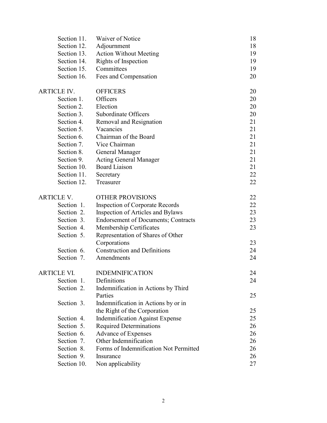| Section 11.        | Waiver of Notice                           | 18 |
|--------------------|--------------------------------------------|----|
| Section 12.        | Adjournment                                | 18 |
| Section 13.        | <b>Action Without Meeting</b>              | 19 |
| Section 14.        | Rights of Inspection                       | 19 |
| Section 15.        | Committees                                 | 19 |
| Section 16.        | Fees and Compensation                      | 20 |
| <b>ARTICLE IV.</b> | <b>OFFICERS</b>                            | 20 |
| Section 1.         | Officers                                   | 20 |
| Section 2.         | Election                                   | 20 |
| Section 3.         | Subordinate Officers                       | 20 |
| Section 4.         | Removal and Resignation                    | 21 |
| Section 5.         | Vacancies                                  | 21 |
| Section 6.         | Chairman of the Board                      | 21 |
| Section 7.         | Vice Chairman                              | 21 |
| Section 8.         | <b>General Manager</b>                     | 21 |
| Section 9.         | <b>Acting General Manager</b>              | 21 |
| Section 10.        | <b>Board Liaison</b>                       | 21 |
| Section 11.        | Secretary                                  | 22 |
| Section 12.        | Treasurer                                  | 22 |
| <b>ARTICLE V.</b>  | <b>OTHER PROVISIONS</b>                    | 22 |
| Section 1.         | <b>Inspection of Corporate Records</b>     | 22 |
| Section 2.         | Inspection of Articles and Bylaws          | 23 |
| Section 3.         | <b>Endorsement of Documents; Contracts</b> | 23 |
| Section 4.         | Membership Certificates                    | 23 |
| Section 5.         | Representation of Shares of Other          |    |
|                    | Corporations                               | 23 |
| Section 6.         | <b>Construction and Definitions</b>        | 24 |
| Section 7.         | Amendments                                 | 24 |
| ARTICLE VI.        | <b>INDEMNIFICATION</b>                     | 24 |
| Section 1.         | Definitions                                | 24 |
| Section 2.         | Indemnification in Actions by Third        |    |
|                    | Parties                                    | 25 |
| Section 3.         | Indemnification in Actions by or in        |    |
|                    | the Right of the Corporation               | 25 |
| Section 4.         | <b>Indemnification Against Expense</b>     | 25 |
| Section 5.         | <b>Required Determinations</b>             | 26 |
| Section 6.         | Advance of Expenses                        | 26 |
| Section 7.         | Other Indemnification                      | 26 |
| Section 8.         | Forms of Indemnification Not Permitted     | 26 |
| Section 9.         | Insurance                                  | 26 |
| Section 10.        | Non applicability                          | 27 |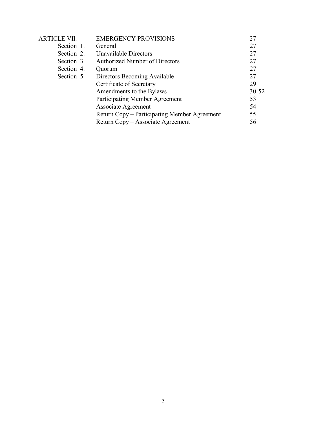| <b>ARTICLE VII.</b> | <b>EMERGENCY PROVISIONS</b>                  | 27        |
|---------------------|----------------------------------------------|-----------|
| Section 1.          | General                                      | 27        |
| Section 2.          | Unavailable Directors                        | 27        |
| Section 3.          | <b>Authorized Number of Directors</b>        | 27        |
| Section 4.          | Quorum                                       | 27        |
| Section 5.          | Directors Becoming Available                 | 27        |
|                     | Certificate of Secretary                     | 29        |
|                     | Amendments to the Bylaws                     | $30 - 52$ |
|                     | Participating Member Agreement               | 53        |
|                     | Associate Agreement                          | 54        |
|                     | Return Copy – Participating Member Agreement | 55        |
|                     | Return Copy – Associate Agreement            | 56        |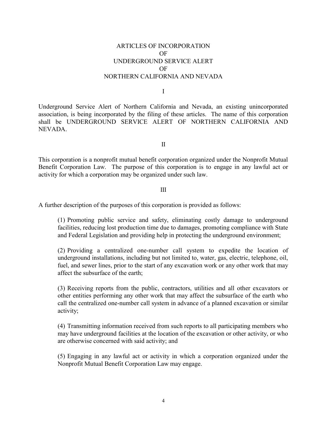# ARTICLES OF INCORPORATION OF UNDERGROUND SERVICE ALERT OF NORTHERN CALIFORNIA AND NEVADA

I

Underground Service Alert of Northern California and Nevada, an existing unincorporated association, is being incorporated by the filing of these articles. The name of this corporation shall be UNDERGROUND SERVICE ALERT OF NORTHERN CALIFORNIA AND NEVADA.

II

This corporation is a nonprofit mutual benefit corporation organized under the Nonprofit Mutual Benefit Corporation Law. The purpose of this corporation is to engage in any lawful act or activity for which a corporation may be organized under such law.

#### III

A further description of the purposes of this corporation is provided as follows:

(1) Promoting public service and safety, eliminating costly damage to underground facilities, reducing lost production time due to damages, promoting compliance with State and Federal Legislation and providing help in protecting the underground environment;

(2) Providing a centralized one-number call system to expedite the location of underground installations, including but not limited to, water, gas, electric, telephone, oil, fuel, and sewer lines, prior to the start of any excavation work or any other work that may affect the subsurface of the earth;

(3) Receiving reports from the public, contractors, utilities and all other excavators or other entities performing any other work that may affect the subsurface of the earth who call the centralized one-number call system in advance of a planned excavation or similar activity;

(4) Transmitting information received from such reports to all participating members who may have underground facilities at the location of the excavation or other activity, or who are otherwise concerned with said activity; and

(5) Engaging in any lawful act or activity in which a corporation organized under the Nonprofit Mutual Benefit Corporation Law may engage.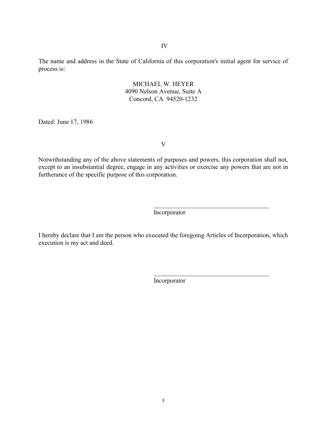The name and address in the State of California of this corporation's initial agent for service of process is:

## MICHAEL W. HEYER 4090 Nelson Avenue, Suite A Concord, CA 94520-1232

Dated: June 17, 1986

V

Notwithstanding any of the above statements of purposes and powers, this corporation shall not, except to an insubstantial degree, engage in any activities or exercise any powers that are not in furtherance of the specific purpose of this corporation.

Incorporator

I hereby declare that I am the person who executed the foregoing Articles of Incorporation, which execution is my act and deed.

Incorporator

5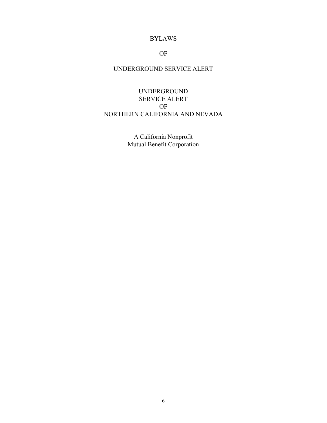# BYLAWS

# OF

# UNDERGROUND SERVICE ALERT

UNDERGROUND SERVICE ALERT OF NORTHERN CALIFORNIA AND NEVADA

> A California Nonprofit Mutual Benefit Corporation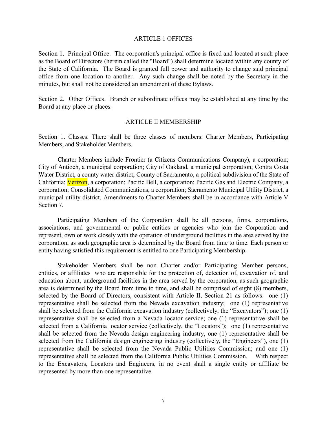#### ARTICLE 1 OFFICES

Section 1. Principal Office. The corporation's principal office is fixed and located at such place as the Board of Directors (herein called the "Board") shall determine located within any county of the State of California. The Board is granted full power and authority to change said principal office from one location to another. Any such change shall be noted by the Secretary in the minutes, but shall not be considered an amendment of these Bylaws.

Section 2. Other Offices. Branch or subordinate offices may be established at any time by the Board at any place or places.

#### ARTICLE II MEMBERSHIP

Section 1. Classes. There shall be three classes of members: Charter Members, Participating Members, and Stakeholder Members.

 Charter Members include Frontier (a Citizens Communications Company), a corporation; City of Antioch, a municipal corporation; City of Oakland, a municipal corporation; Contra Costa Water District, a county water district; County of Sacramento, a political subdivision of the State of California; Verizon, a corporation; Pacific Bell, a corporation; Pacific Gas and Electric Company, a corporation; Consolidated Communications, a corporation; Sacramento Municipal Utility District, a municipal utility district. Amendments to Charter Members shall be in accordance with Article V Section 7.

 Participating Members of the Corporation shall be all persons, firms, corporations, associations, and governmental or public entities or agencies who join the Corporation and represent, own or work closely with the operation of underground facilities in the area served by the corporation, as such geographic area is determined by the Board from time to time. Each person or entity having satisfied this requirement is entitled to one Participating Membership.

 Stakeholder Members shall be non Charter and/or Participating Member persons, entities, or affiliates who are responsible for the protection of, detection of, excavation of, and education about, underground facilities in the area served by the corporation, as such geographic area is determined by the Board from time to time, and shall be comprised of eight (8) members, selected by the Board of Directors, consistent with Article II, Section 21 as follows: one (1) representative shall be selected from the Nevada excavation industry; one (1) representative shall be selected from the California excavation industry (collectively, the "Excavators"); one (1) representative shall be selected from a Nevada locator service; one (1) representative shall be selected from a California locator service (collectively, the "Locators"); one (1) representative shall be selected from the Nevada design engineering industry, one (1) representative shall be selected from the California design engineering industry (collectively, the "Engineers"), one (1) representative shall be selected from the Nevada Public Utilities Commission; and one (1) representative shall be selected from the California Public Utilities Commission. With respect to the Excavators, Locators and Engineers, in no event shall a single entity or affiliate be represented by more than one representative.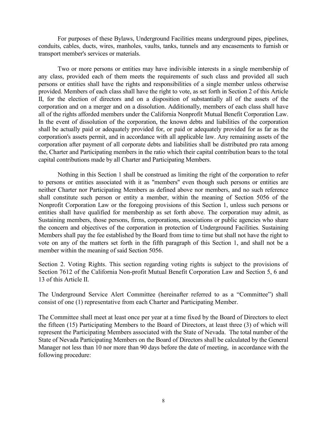For purposes of these Bylaws, Underground Facilities means underground pipes, pipelines, conduits, cables, ducts, wires, manholes, vaults, tanks, tunnels and any encasements to furnish or transport member's services or materials.

 Two or more persons or entities may have indivisible interests in a single membership of any class, provided each of them meets the requirements of such class and provided all such persons or entities shall have the rights and responsibilities of a single member unless otherwise provided. Members of each class shall have the right to vote, as set forth in Section 2 of this Article II, for the election of directors and on a disposition of substantially all of the assets of the corporation and on a merger and on a dissolution. Additionally, members of each class shall have all of the rights afforded members under the California Nonprofit Mutual Benefit Corporation Law. In the event of dissolution of the corporation, the known debts and liabilities of the corporation shall be actually paid or adequately provided for, or paid or adequately provided for as far as the corporation's assets permit, and in accordance with all applicable law. Any remaining assets of the corporation after payment of all corporate debts and liabilities shall be distributed pro rata among the, Charter and Participating members in the ratio which their capital contribution bears to the total capital contributions made by all Charter and Participating Members.

 Nothing in this Section 1 shall be construed as limiting the right of the corporation to refer to persons or entities associated with it as "members" even though such persons or entities are neither Charter nor Participating Members as defined above nor members, and no such reference shall constitute such person or entity a member, within the meaning of Section 5056 of the Nonprofit Corporation Law or the foregoing provisions of this Section 1, unless such persons or entities shall have qualified for membership as set forth above. The corporation may admit, as Sustaining members, those persons, firms, corporations, associations or public agencies who share the concern and objectives of the corporation in protection of Underground Facilities. Sustaining Members shall pay the fee established by the Board from time to time but shall not have the right to vote on any of the matters set forth in the fifth paragraph of this Section 1, and shall not be a member within the meaning of said Section 5056.

Section 2. Voting Rights. This section regarding voting rights is subject to the provisions of Section 7612 of the California Non-profit Mutual Benefit Corporation Law and Section 5, 6 and 13 of this Article II.

The Underground Service Alert Committee (hereinafter referred to as a "Committee") shall consist of one (1) representative from each Charter and Participating Member.

The Committee shall meet at least once per year at a time fixed by the Board of Directors to elect the fifteen (15) Participating Members to the Board of Directors, at least three (3) of which will represent the Participating Members associated with the State of Nevada. The total number of the State of Nevada Participating Members on the Board of Directors shall be calculated by the General Manager not less than 10 nor more than 90 days before the date of meeting, in accordance with the following procedure: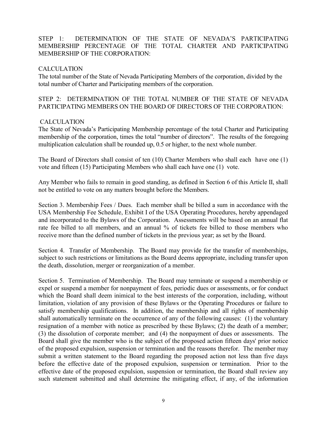# STEP 1: DETERMINATION OF THE STATE OF NEVADA'S PARTICIPATING MEMBERSHIP PERCENTAGE OF THE TOTAL CHARTER AND PARTICIPATING MEMBERSHIP OF THE CORPORATION:

# **CALCULATION**

The total number of the State of Nevada Participating Members of the corporation, divided by the total number of Charter and Participating members of the corporation.

# STEP 2: DETERMINATION OF THE TOTAL NUMBER OF THE STATE OF NEVADA PARTICIPATING MEMBERS ON THE BOARD OF DIRECTORS OF THE CORPORATION:

## CALCULATION

The State of Nevada's Participating Membership percentage of the total Charter and Participating membership of the corporation, times the total "number of directors". The results of the foregoing multiplication calculation shall be rounded up, 0.5 or higher, to the next whole number.

The Board of Directors shall consist of ten (10) Charter Members who shall each have one (1) vote and fifteen (15) Participating Members who shall each have one (1) vote.

Any Member who fails to remain in good standing, as defined in Section 6 of this Article II, shall not be entitled to vote on any matters brought before the Members.

Section 3. Membership Fees / Dues. Each member shall be billed a sum in accordance with the USA Membership Fee Schedule, Exhibit I of the USA Operating Procedures, hereby appendaged and incorporated to the Bylaws of the Corporation. Assessments will be based on an annual flat rate fee billed to all members, and an annual % of tickets fee billed to those members who receive more than the defined number of tickets in the previous year; as set by the Board.

Section 4. Transfer of Membership. The Board may provide for the transfer of memberships, subject to such restrictions or limitations as the Board deems appropriate, including transfer upon the death, dissolution, merger or reorganization of a member.

Section 5. Termination of Membership. The Board may terminate or suspend a membership or expel or suspend a member for nonpayment of fees, periodic dues or assessments, or for conduct which the Board shall deem inimical to the best interests of the corporation, including, without limitation, violation of any provision of these Bylaws or the Operating Procedures or failure to satisfy membership qualifications. In addition, the membership and all rights of membership shall automatically terminate on the occurrence of any of the following causes: (1) the voluntary resignation of a member with notice as prescribed by these Bylaws; (2) the death of a member; (3) the dissolution of corporate member; and (4) the nonpayment of dues or assessments. The Board shall give the member who is the subject of the proposed action fifteen days' prior notice of the proposed expulsion, suspension or termination and the reasons therefor. The member may submit a written statement to the Board regarding the proposed action not less than five days before the effective date of the proposed expulsion, suspension or termination. Prior to the effective date of the proposed expulsion, suspension or termination, the Board shall review any such statement submitted and shall determine the mitigating effect, if any, of the information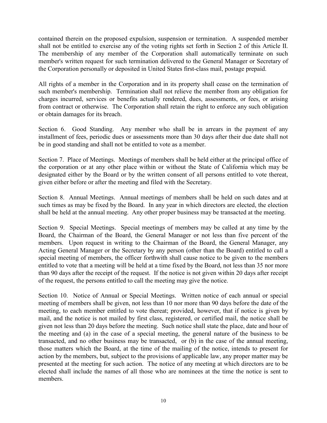contained therein on the proposed expulsion, suspension or termination. A suspended member shall not be entitled to exercise any of the voting rights set forth in Section 2 of this Article II. The membership of any member of the Corporation shall automatically terminate on such member's written request for such termination delivered to the General Manager or Secretary of the Corporation personally or deposited in United States first-class mail, postage prepaid.

All rights of a member in the Corporation and in its property shall cease on the termination of such member's membership. Termination shall not relieve the member from any obligation for charges incurred, services or benefits actually rendered, dues, assessments, or fees, or arising from contract or otherwise. The Corporation shall retain the right to enforce any such obligation or obtain damages for its breach.

Section 6. Good Standing. Any member who shall be in arrears in the payment of any installment of fees, periodic dues or assessments more than 30 days after their due date shall not be in good standing and shall not be entitled to vote as a member.

Section 7. Place of Meetings. Meetings of members shall be held either at the principal office of the corporation or at any other place within or without the State of California which may be designated either by the Board or by the written consent of all persons entitled to vote thereat, given either before or after the meeting and filed with the Secretary.

Section 8. Annual Meetings. Annual meetings of members shall be held on such dates and at such times as may be fixed by the Board. In any year in which directors are elected, the election shall be held at the annual meeting. Any other proper business may be transacted at the meeting.

Section 9. Special Meetings. Special meetings of members may be called at any time by the Board, the Chairman of the Board, the General Manager or not less than five percent of the members. Upon request in writing to the Chairman of the Board, the General Manager, any Acting General Manager or the Secretary by any person (other than the Board) entitled to call a special meeting of members, the officer forthwith shall cause notice to be given to the members entitled to vote that a meeting will be held at a time fixed by the Board, not less than 35 nor more than 90 days after the receipt of the request. If the notice is not given within 20 days after receipt of the request, the persons entitled to call the meeting may give the notice.

Section 10. Notice of Annual or Special Meetings. Written notice of each annual or special meeting of members shall be given, not less than 10 nor more than 90 days before the date of the meeting, to each member entitled to vote thereat; provided, however, that if notice is given by mail, and the notice is not mailed by first class, registered, or certified mail, the notice shall be given not less than 20 days before the meeting. Such notice shall state the place, date and hour of the meeting and (a) in the case of a special meeting, the general nature of the business to be transacted, and no other business may be transacted, or (b) in the case of the annual meeting, those matters which the Board, at the time of the mailing of the notice, intends to present for action by the members, but, subject to the provisions of applicable law, any proper matter may be presented at the meeting for such action. The notice of any meeting at which directors are to be elected shall include the names of all those who are nominees at the time the notice is sent to members.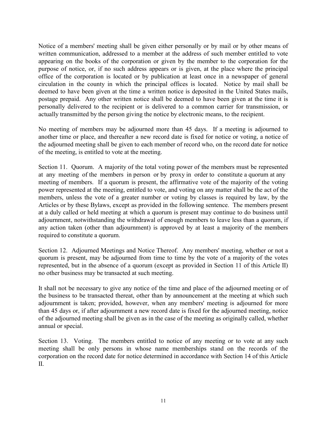Notice of a members' meeting shall be given either personally or by mail or by other means of written communication, addressed to a member at the address of such member entitled to vote appearing on the books of the corporation or given by the member to the corporation for the purpose of notice, or, if no such address appears or is given, at the place where the principal office of the corporation is located or by publication at least once in a newspaper of general circulation in the county in which the principal offices is located. Notice by mail shall be deemed to have been given at the time a written notice is deposited in the United States mails, postage prepaid. Any other written notice shall be deemed to have been given at the time it is personally delivered to the recipient or is delivered to a common carrier for transmission, or actually transmitted by the person giving the notice by electronic means, to the recipient.

No meeting of members may be adjourned more than 45 days. If a meeting is adjourned to another time or place, and thereafter a new record date is fixed for notice or voting, a notice of the adjourned meeting shall be given to each member of record who, on the record date for notice of the meeting, is entitled to vote at the meeting.

Section 11. Quorum. A majority of the total voting power of the members must be represented at any meeting of the members in person or by proxy in order to constitute a quorum at any meeting of members. If a quorum is present, the affirmative vote of the majority of the voting power represented at the meeting, entitled to vote, and voting on any matter shall be the act of the members, unless the vote of a greater number or voting by classes is required by law, by the Articles or by these Bylaws, except as provided in the following sentence. The members present at a duly called or held meeting at which a quorum is present may continue to do business until adjournment, notwithstanding the withdrawal of enough members to leave less than a quorum, if any action taken (other than adjournment) is approved by at least a majority of the members required to constitute a quorum.

Section 12. Adjourned Meetings and Notice Thereof. Any members' meeting, whether or not a quorum is present, may be adjourned from time to time by the vote of a majority of the votes represented, but in the absence of a quorum (except as provided in Section 11 of this Article II) no other business may be transacted at such meeting.

It shall not be necessary to give any notice of the time and place of the adjourned meeting or of the business to be transacted thereat, other than by announcement at the meeting at which such adjournment is taken; provided, however, when any members' meeting is adjourned for more than 45 days or, if after adjournment a new record date is fixed for the adjourned meeting, notice of the adjourned meeting shall be given as in the case of the meeting as originally called, whether annual or special.

Section 13. Voting. The members entitled to notice of any meeting or to vote at any such meeting shall be only persons in whose name memberships stand on the records of the corporation on the record date for notice determined in accordance with Section 14 of this Article II.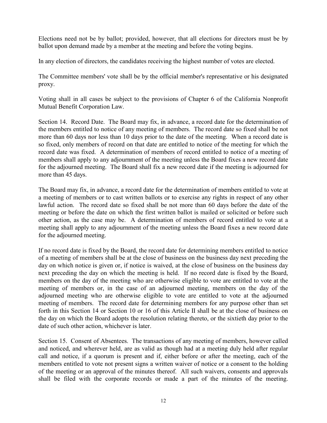Elections need not be by ballot; provided, however, that all elections for directors must be by ballot upon demand made by a member at the meeting and before the voting begins.

In any election of directors, the candidates receiving the highest number of votes are elected.

The Committee members' vote shall be by the official member's representative or his designated proxy.

Voting shall in all cases be subject to the provisions of Chapter 6 of the California Nonprofit Mutual Benefit Corporation Law.

Section 14. Record Date. The Board may fix, in advance, a record date for the determination of the members entitled to notice of any meeting of members. The record date so fixed shall be not more than 60 days nor less than 10 days prior to the date of the meeting. When a record date is so fixed, only members of record on that date are entitled to notice of the meeting for which the record date was fixed. A determination of members of record entitled to notice of a meeting of members shall apply to any adjournment of the meeting unless the Board fixes a new record date for the adjourned meeting. The Board shall fix a new record date if the meeting is adjourned for more than 45 days.

The Board may fix, in advance, a record date for the determination of members entitled to vote at a meeting of members or to cast written ballots or to exercise any rights in respect of any other lawful action. The record date so fixed shall be not more than 60 days before the date of the meeting or before the date on which the first written ballot is mailed or solicited or before such other action, as the case may be. A determination of members of record entitled to vote at a meeting shall apply to any adjournment of the meeting unless the Board fixes a new record date for the adjourned meeting.

If no record date is fixed by the Board, the record date for determining members entitled to notice of a meeting of members shall be at the close of business on the business day next preceding the day on which notice is given or, if notice is waived, at the close of business on the business day next preceding the day on which the meeting is held. If no record date is fixed by the Board, members on the day of the meeting who are otherwise eligible to vote are entitled to vote at the meeting of members or, in the case of an adjourned meeting, members on the day of the adjourned meeting who are otherwise eligible to vote are entitled to vote at the adjourned meeting of members. The record date for determining members for any purpose other than set forth in this Section 14 or Section 10 or 16 of this Article II shall be at the close of business on the day on which the Board adopts the resolution relating thereto, or the sixtieth day prior to the date of such other action, whichever is later.

Section 15. Consent of Absentees. The transactions of any meeting of members, however called and noticed, and wherever held, are as valid as though had at a meeting duly held after regular call and notice, if a quorum is present and if, either before or after the meeting, each of the members entitled to vote not present signs a written waiver of notice or a consent to the holding of the meeting or an approval of the minutes thereof. All such waivers, consents and approvals shall be filed with the corporate records or made a part of the minutes of the meeting.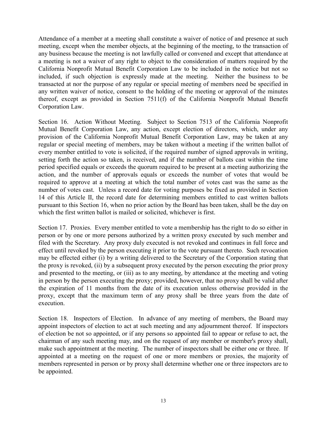Attendance of a member at a meeting shall constitute a waiver of notice of and presence at such meeting, except when the member objects, at the beginning of the meeting, to the transaction of any business because the meeting is not lawfully called or convened and except that attendance at a meeting is not a waiver of any right to object to the consideration of matters required by the California Nonprofit Mutual Benefit Corporation Law to be included in the notice but not so included, if such objection is expressly made at the meeting. Neither the business to be transacted at nor the purpose of any regular or special meeting of members need be specified in any written waiver of notice, consent to the holding of the meeting or approval of the minutes thereof, except as provided in Section 7511(f) of the California Nonprofit Mutual Benefit Corporation Law.

Section 16. Action Without Meeting. Subject to Section 7513 of the California Nonprofit Mutual Benefit Corporation Law, any action, except election of directors, which, under any provision of the California Nonprofit Mutual Benefit Corporation Law, may be taken at any regular or special meeting of members, may be taken without a meeting if the written ballot of every member entitled to vote is solicited, if the required number of signed approvals in writing, setting forth the action so taken, is received, and if the number of ballots cast within the time period specified equals or exceeds the quorum required to be present at a meeting authorizing the action, and the number of approvals equals or exceeds the number of votes that would be required to approve at a meeting at which the total number of votes cast was the same as the number of votes cast. Unless a record date for voting purposes be fixed as provided in Section 14 of this Article II, the record date for determining members entitled to cast written ballots pursuant to this Section 16, when no prior action by the Board has been taken, shall be the day on which the first written ballot is mailed or solicited, whichever is first.

Section 17. Proxies. Every member entitled to vote a membership has the right to do so either in person or by one or more persons authorized by a written proxy executed by such member and filed with the Secretary. Any proxy duly executed is not revoked and continues in full force and effect until revoked by the person executing it prior to the vote pursuant thereto. Such revocation may be effected either (i) by a writing delivered to the Secretary of the Corporation stating that the proxy is revoked, (ii) by a subsequent proxy executed by the person executing the prior proxy and presented to the meeting, or (iii) as to any meeting, by attendance at the meeting and voting in person by the person executing the proxy; provided, however, that no proxy shall be valid after the expiration of 11 months from the date of its execution unless otherwise provided in the proxy, except that the maximum term of any proxy shall be three years from the date of execution.

Section 18. Inspectors of Election. In advance of any meeting of members, the Board may appoint inspectors of election to act at such meeting and any adjournment thereof. If inspectors of election be not so appointed, or if any persons so appointed fail to appear or refuse to act, the chairman of any such meeting may, and on the request of any member or member's proxy shall, make such appointment at the meeting. The number of inspectors shall be either one or three. If appointed at a meeting on the request of one or more members or proxies, the majority of members represented in person or by proxy shall determine whether one or three inspectors are to be appointed.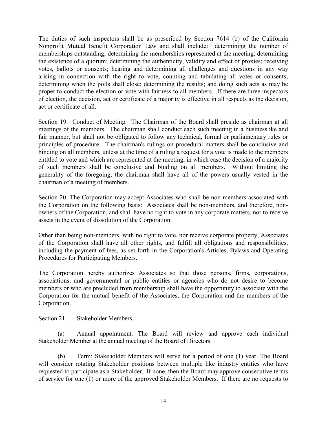The duties of such inspectors shall be as prescribed by Section 7614 (b) of the California Nonprofit Mutual Benefit Corporation Law and shall include: determining the number of memberships outstanding; determining the memberships represented at the meeting; determining the existence of a quorum; determining the authenticity, validity and effect of proxies; receiving votes, ballots or consents; hearing and determining all challenges and questions in any way arising in connection with the right to vote; counting and tabulating all votes or consents; determining when the polls shall close; determining the results; and doing such acts as may be proper to conduct the election or vote with fairness to all members. If there are three inspectors of election, the decision, act or certificate of a majority is effective in all respects as the decision, act or certificate of all.

Section 19. Conduct of Meeting. The Chairman of the Board shall preside as chairman at all meetings of the members. The chairman shall conduct each such meeting in a businesslike and fair manner, but shall not be obligated to follow any technical, formal or parliamentary rules or principles of procedure. The chairman's rulings on procedural matters shall be conclusive and binding on all members, unless at the time of a ruling a request for a vote is made to the members entitled to vote and which are represented at the meeting, in which case the decision of a majority of such members shall be conclusive and binding on all members. Without limiting the generality of the foregoing, the chairman shall have all of the powers usually vested in the chairman of a meeting of members.

Section 20. The Corporation may accept Associates who shall be non-members associated with the Corporation on the following basis: Associates shall be non-members, and therefore, nonowners of the Corporation, and shall have no right to vote in any corporate matters, nor to receive assets in the event of dissolution of the Corporation.

Other than being non-members, with no right to vote, nor receive corporate property, Associates of the Corporation shall have all other rights, and fulfill all obligations and responsibilities, including the payment of fees, as set forth in the Corporation's Articles, Bylaws and Operating Procedures for Participating Members.

The Corporation hereby authorizes Associates so that those persons, firms, corporations, associations, and governmental or public entities or agencies who do not desire to become members or who are precluded from membership shall have the opportunity to associate with the Corporation for the mutual benefit of the Associates, the Corporation and the members of the Corporation.

Section 21. Stakeholder Members.

 (a) Annual appointment: The Board will review and approve each individual Stakeholder Member at the annual meeting of the Board of Directors.

 (b) Term: Stakeholder Members will serve for a period of one (1) year. The Board will consider rotating Stakeholder positions between multiple like industry entities who have requested to participate as a Stakeholder. If none, then the Board may approve consecutive terms of service for one (1) or more of the approved Stakeholder Members. If there are no requests to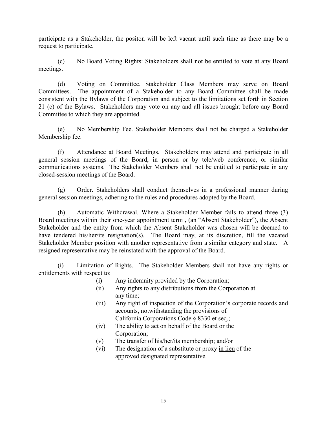participate as a Stakeholder, the positon will be left vacant until such time as there may be a request to participate.

 (c) No Board Voting Rights: Stakeholders shall not be entitled to vote at any Board meetings.

 (d) Voting on Committee. Stakeholder Class Members may serve on Board Committees. The appointment of a Stakeholder to any Board Committee shall be made consistent with the Bylaws of the Corporation and subject to the limitations set forth in Section 21 (c) of the Bylaws. Stakeholders may vote on any and all issues brought before any Board Committee to which they are appointed.

 (e) No Membership Fee. Stakeholder Members shall not be charged a Stakeholder Membership fee.

 (f) Attendance at Board Meetings. Stakeholders may attend and participate in all general session meetings of the Board, in person or by tele/web conference, or similar communications systems. The Stakeholder Members shall not be entitled to participate in any closed-session meetings of the Board.

 (g) Order. Stakeholders shall conduct themselves in a professional manner during general session meetings, adhering to the rules and procedures adopted by the Board.

 (h) Automatic Withdrawal. Where a Stakeholder Member fails to attend three (3) Board meetings within their one-year appointment term , (an "Absent Stakeholder"), the Absent Stakeholder and the entity from which the Absent Stakeholder was chosen will be deemed to have tendered his/her/its resignation(s). The Board may, at its discretion, fill the vacated Stakeholder Member position with another representative from a similar category and state. A resigned representative may be reinstated with the approval of the Board.

 (i) Limitation of Rights. The Stakeholder Members shall not have any rights or entitlements with respect to:

- (i) Any indemnity provided by the Corporation;
- (ii) Any rights to any distributions from the Corporation at any time;
- (iii) Any right of inspection of the Corporation's corporate records and accounts, notwithstanding the provisions of
	- California Corporations Code § 8330 et seq.;
- (iv) The ability to act on behalf of the Board or the Corporation;
- (v) The transfer of his/her/its membership; and/or
- (vi) The designation of a substitute or proxy in lieu of the approved designated representative.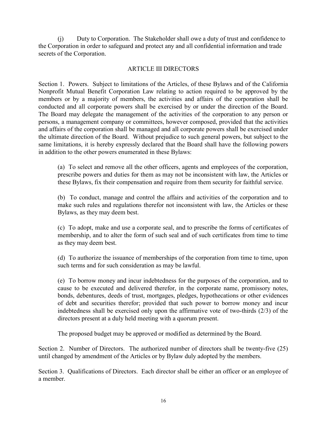(j) Duty to Corporation. The Stakeholder shall owe a duty of trust and confidence to the Corporation in order to safeguard and protect any and all confidential information and trade secrets of the Corporation.

## ARTICLE III DIRECTORS

Section 1. Powers. Subject to limitations of the Articles, of these Bylaws and of the California Nonprofit Mutual Benefit Corporation Law relating to action required to be approved by the members or by a majority of members, the activities and affairs of the corporation shall be conducted and all corporate powers shall be exercised by or under the direction of the Board. The Board may delegate the management of the activities of the corporation to any person or persons, a management company or committees, however composed, provided that the activities and affairs of the corporation shall be managed and all corporate powers shall be exercised under the ultimate direction of the Board. Without prejudice to such general powers, but subject to the same limitations, it is hereby expressly declared that the Board shall have the following powers in addition to the other powers enumerated in these Bylaws:

(a) To select and remove all the other officers, agents and employees of the corporation, prescribe powers and duties for them as may not be inconsistent with law, the Articles or these Bylaws, fix their compensation and require from them security for faithful service.

(b) To conduct, manage and control the affairs and activities of the corporation and to make such rules and regulations therefor not inconsistent with law, the Articles or these Bylaws, as they may deem best.

(c) To adopt, make and use a corporate seal, and to prescribe the forms of certificates of membership, and to alter the form of such seal and of such certificates from time to time as they may deem best.

(d) To authorize the issuance of memberships of the corporation from time to time, upon such terms and for such consideration as may be lawful.

(e) To borrow money and incur indebtedness for the purposes of the corporation, and to cause to be executed and delivered therefor, in the corporate name, promissory notes, bonds, debentures, deeds of trust, mortgages, pledges, hypothecations or other evidences of debt and securities therefor; provided that such power to borrow money and incur indebtedness shall be exercised only upon the affirmative vote of two-thirds (2/3) of the directors present at a duly held meeting with a quorum present.

The proposed budget may be approved or modified as determined by the Board.

Section 2. Number of Directors. The authorized number of directors shall be twenty-five (25) until changed by amendment of the Articles or by Bylaw duly adopted by the members.

Section 3. Qualifications of Directors. Each director shall be either an officer or an employee of a member.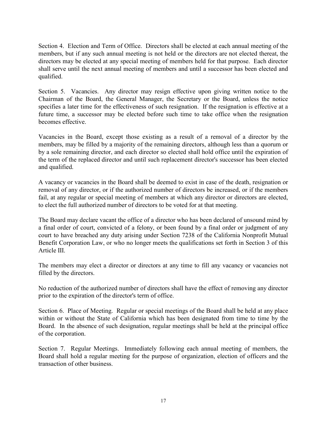Section 4. Election and Term of Office. Directors shall be elected at each annual meeting of the members, but if any such annual meeting is not held or the directors are not elected thereat, the directors may be elected at any special meeting of members held for that purpose. Each director shall serve until the next annual meeting of members and until a successor has been elected and qualified.

Section 5. Vacancies. Any director may resign effective upon giving written notice to the Chairman of the Board, the General Manager, the Secretary or the Board, unless the notice specifies a later time for the effectiveness of such resignation. If the resignation is effective at a future time, a successor may be elected before such time to take office when the resignation becomes effective.

Vacancies in the Board, except those existing as a result of a removal of a director by the members, may be filled by a majority of the remaining directors, although less than a quorum or by a sole remaining director, and each director so elected shall hold office until the expiration of the term of the replaced director and until such replacement director's successor has been elected and qualified.

A vacancy or vacancies in the Board shall be deemed to exist in case of the death, resignation or removal of any director, or if the authorized number of directors be increased, or if the members fail, at any regular or special meeting of members at which any director or directors are elected, to elect the full authorized number of directors to be voted for at that meeting.

The Board may declare vacant the office of a director who has been declared of unsound mind by a final order of court, convicted of a felony, or been found by a final order or judgment of any court to have breached any duty arising under Section 7238 of the California Nonprofit Mutual Benefit Corporation Law, or who no longer meets the qualifications set forth in Section 3 of this Article III.

The members may elect a director or directors at any time to fill any vacancy or vacancies not filled by the directors.

No reduction of the authorized number of directors shall have the effect of removing any director prior to the expiration of the director's term of office.

Section 6. Place of Meeting. Regular or special meetings of the Board shall be held at any place within or without the State of California which has been designated from time to time by the Board. In the absence of such designation, regular meetings shall be held at the principal office of the corporation.

Section 7. Regular Meetings. Immediately following each annual meeting of members, the Board shall hold a regular meeting for the purpose of organization, election of officers and the transaction of other business.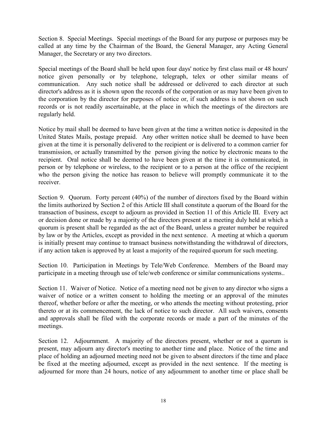Section 8. Special Meetings. Special meetings of the Board for any purpose or purposes may be called at any time by the Chairman of the Board, the General Manager, any Acting General Manager, the Secretary or any two directors.

Special meetings of the Board shall be held upon four days' notice by first class mail or 48 hours' notice given personally or by telephone, telegraph, telex or other similar means of communication. Any such notice shall be addressed or delivered to each director at such director's address as it is shown upon the records of the corporation or as may have been given to the corporation by the director for purposes of notice or, if such address is not shown on such records or is not readily ascertainable, at the place in which the meetings of the directors are regularly held.

Notice by mail shall be deemed to have been given at the time a written notice is deposited in the United States Mails, postage prepaid. Any other written notice shall be deemed to have been given at the time it is personally delivered to the recipient or is delivered to a common carrier for transmission, or actually transmitted by the person giving the notice by electronic means to the recipient. Oral notice shall be deemed to have been given at the time it is communicated, in person or by telephone or wireless, to the recipient or to a person at the office of the recipient who the person giving the notice has reason to believe will promptly communicate it to the receiver.

Section 9. Quorum. Forty percent (40%) of the number of directors fixed by the Board within the limits authorized by Section 2 of this Article III shall constitute a quorum of the Board for the transaction of business, except to adjourn as provided in Section 11 of this Article III. Every act or decision done or made by a majority of the directors present at a meeting duly held at which a quorum is present shall be regarded as the act of the Board, unless a greater number be required by law or by the Articles, except as provided in the next sentence. A meeting at which a quorum is initially present may continue to transact business notwithstanding the withdrawal of directors, if any action taken is approved by at least a majority of the required quorum for such meeting.

Section 10. Participation in Meetings by Tele/Web Conference. Members of the Board may participate in a meeting through use of tele/web conference or similar communications systems..

Section 11. Waiver of Notice. Notice of a meeting need not be given to any director who signs a waiver of notice or a written consent to holding the meeting or an approval of the minutes thereof, whether before or after the meeting, or who attends the meeting without protesting, prior thereto or at its commencement, the lack of notice to such director. All such waivers, consents and approvals shall be filed with the corporate records or made a part of the minutes of the meetings.

Section 12. Adjournment. A majority of the directors present, whether or not a quorum is present, may adjourn any director's meeting to another time and place. Notice of the time and place of holding an adjourned meeting need not be given to absent directors if the time and place be fixed at the meeting adjourned, except as provided in the next sentence. If the meeting is adjourned for more than 24 hours, notice of any adjournment to another time or place shall be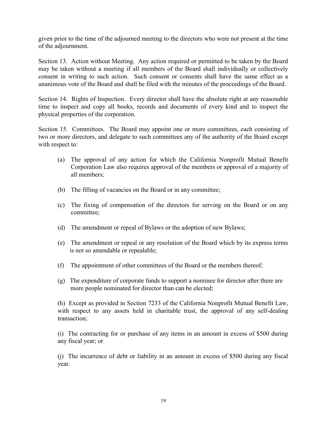given prior to the time of the adjourned meeting to the directors who were not present at the time of the adjournment.

Section 13. Action without Meeting. Any action required or permitted to be taken by the Board may be taken without a meeting if all members of the Board shall individually or collectively consent in writing to such action. Such consent or consents shall have the same effect as a unanimous vote of the Board and shall be filed with the minutes of the proceedings of the Board.

Section 14. Rights of Inspection. Every director shall have the absolute right at any reasonable time to inspect and copy all books, records and documents of every kind and to inspect the physical properties of the corporation.

Section 15. Committees. The Board may appoint one or more committees, each consisting of two or more directors, and delegate to such committees any of the authority of the Board except with respect to:

- (a) The approval of any action for which the California Nonprofit Mutual Benefit Corporation Law also requires approval of the members or approval of a majority of all members;
- (b) The filling of vacancies on the Board or in any committee;
- (c) The fixing of compensation of the directors for serving on the Board or on any committee;
- (d) The amendment or repeal of Bylaws or the adoption of new Bylaws;
- (e) The amendment or repeal or any resolution of the Board which by its express terms is not so amendable or repealable;
- (f) The appointment of other committees of the Board or the members thereof;
- (g) The expenditure of corporate funds to support a nominee for director after there are more people nominated for director than can be elected;

(h) Except as provided in Section 7233 of the California Nonprofit Mutual Benefit Law, with respect to any assets held in charitable trust, the approval of any self-dealing transaction;

(i) The contracting for or purchase of any items in an amount in excess of \$500 during any fiscal year; or

(j) The incurrence of debt or liability in an amount in excess of \$500 during any fiscal year.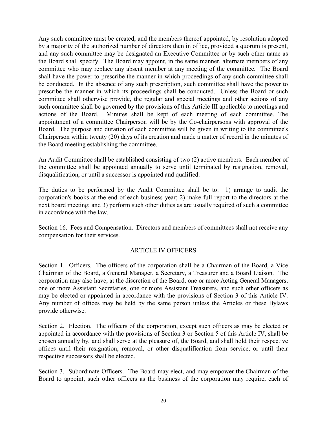Any such committee must be created, and the members thereof appointed, by resolution adopted by a majority of the authorized number of directors then in office, provided a quorum is present, and any such committee may be designated an Executive Committee or by such other name as the Board shall specify. The Board may appoint, in the same manner, alternate members of any committee who may replace any absent member at any meeting of the committee. The Board shall have the power to prescribe the manner in which proceedings of any such committee shall be conducted. In the absence of any such prescription, such committee shall have the power to prescribe the manner in which its proceedings shall be conducted. Unless the Board or such committee shall otherwise provide, the regular and special meetings and other actions of any such committee shall be governed by the provisions of this Article III applicable to meetings and actions of the Board. Minutes shall be kept of each meeting of each committee. The appointment of a committee Chairperson will be by the Co-chairpersons with approval of the Board. The purpose and duration of each committee will be given in writing to the committee's Chairperson within twenty (20) days of its creation and made a matter of record in the minutes of the Board meeting establishing the committee.

An Audit Committee shall be established consisting of two (2) active members. Each member of the committee shall be appointed annually to serve until terminated by resignation, removal, disqualification, or until a successor is appointed and qualified.

The duties to be performed by the Audit Committee shall be to: 1) arrange to audit the corporation's books at the end of each business year; 2) make full report to the directors at the next board meeting; and 3) perform such other duties as are usually required of such a committee in accordance with the law.

Section 16. Fees and Compensation. Directors and members of committees shall not receive any compensation for their services.

# ARTICLE IV OFFICERS

Section 1. Officers. The officers of the corporation shall be a Chairman of the Board, a Vice Chairman of the Board, a General Manager, a Secretary, a Treasurer and a Board Liaison. The corporation may also have, at the discretion of the Board, one or more Acting General Managers, one or more Assistant Secretaries, one or more Assistant Treasurers, and such other officers as may be elected or appointed in accordance with the provisions of Section 3 of this Article IV. Any number of offices may be held by the same person unless the Articles or these Bylaws provide otherwise.

Section 2. Election. The officers of the corporation, except such officers as may be elected or appointed in accordance with the provisions of Section 3 or Section 5 of this Article IV, shall be chosen annually by, and shall serve at the pleasure of, the Board, and shall hold their respective offices until their resignation, removal, or other disqualification from service, or until their respective successors shall be elected.

Section 3. Subordinate Officers. The Board may elect, and may empower the Chairman of the Board to appoint, such other officers as the business of the corporation may require, each of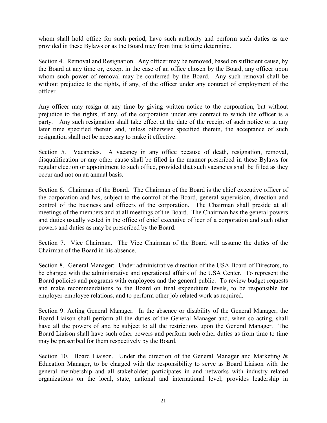whom shall hold office for such period, have such authority and perform such duties as are provided in these Bylaws or as the Board may from time to time determine.

Section 4. Removal and Resignation. Any officer may be removed, based on sufficient cause, by the Board at any time or, except in the case of an office chosen by the Board, any officer upon whom such power of removal may be conferred by the Board. Any such removal shall be without prejudice to the rights, if any, of the officer under any contract of employment of the officer.

Any officer may resign at any time by giving written notice to the corporation, but without prejudice to the rights, if any, of the corporation under any contract to which the officer is a party. Any such resignation shall take effect at the date of the receipt of such notice or at any later time specified therein and, unless otherwise specified therein, the acceptance of such resignation shall not be necessary to make it effective.

Section 5. Vacancies. A vacancy in any office because of death, resignation, removal, disqualification or any other cause shall be filled in the manner prescribed in these Bylaws for regular election or appointment to such office, provided that such vacancies shall be filled as they occur and not on an annual basis.

Section 6. Chairman of the Board. The Chairman of the Board is the chief executive officer of the corporation and has, subject to the control of the Board, general supervision, direction and control of the business and officers of the corporation. The Chairman shall preside at all meetings of the members and at all meetings of the Board. The Chairman has the general powers and duties usually vested in the office of chief executive officer of a corporation and such other powers and duties as may be prescribed by the Board.

Section 7. Vice Chairman. The Vice Chairman of the Board will assume the duties of the Chairman of the Board in his absence.

Section 8. General Manager: Under administrative direction of the USA Board of Directors, to be charged with the administrative and operational affairs of the USA Center. To represent the Board policies and programs with employees and the general public. To review budget requests and make recommendations to the Board on final expenditure levels, to be responsible for employer-employee relations, and to perform other job related work as required.

Section 9. Acting General Manager. In the absence or disability of the General Manager, the Board Liaison shall perform all the duties of the General Manager and, when so acting, shall have all the powers of and be subject to all the restrictions upon the General Manager. The Board Liaison shall have such other powers and perform such other duties as from time to time may be prescribed for them respectively by the Board.

Section 10. Board Liaison. Under the direction of the General Manager and Marketing & Education Manager, to be charged with the responsibility to serve as Board Liaison with the general membership and all stakeholder; participates in and networks with industry related organizations on the local, state, national and international level; provides leadership in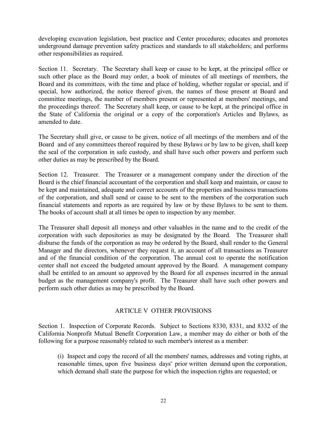developing excavation legislation, best practice and Center procedures; educates and promotes underground damage prevention safety practices and standards to all stakeholders; and performs other responsibilities as required.

Section 11. Secretary. The Secretary shall keep or cause to be kept, at the principal office or such other place as the Board may order, a book of minutes of all meetings of members, the Board and its committees, with the time and place of holding, whether regular or special, and if special, how authorized, the notice thereof given, the names of those present at Board and committee meetings, the number of members present or represented at members' meetings, and the proceedings thereof. The Secretary shall keep, or cause to be kept, at the principal office in the State of California the original or a copy of the corporation's Articles and Bylaws, as amended to date.

The Secretary shall give, or cause to be given, notice of all meetings of the members and of the Board and of any committees thereof required by these Bylaws or by law to be given, shall keep the seal of the corporation in safe custody, and shall have such other powers and perform such other duties as may be prescribed by the Board.

Section 12. Treasurer. The Treasurer or a management company under the direction of the Board is the chief financial accountant of the corporation and shall keep and maintain, or cause to be kept and maintained, adequate and correct accounts of the properties and business transactions of the corporation, and shall send or cause to be sent to the members of the corporation such financial statements and reports as are required by law or by these Bylaws to be sent to them. The books of account shall at all times be open to inspection by any member.

The Treasurer shall deposit all moneys and other valuables in the name and to the credit of the corporation with such depositories as may be designated by the Board. The Treasurer shall disburse the funds of the corporation as may be ordered by the Board, shall render to the General Manager and the directors, whenever they request it, an account of all transactions as Treasurer and of the financial condition of the corporation. The annual cost to operate the notification center shall not exceed the budgeted amount approved by the Board. A management company shall be entitled to an amount so approved by the Board for all expenses incurred in the annual budget as the management company's profit. The Treasurer shall have such other powers and perform such other duties as may be prescribed by the Board.

# ARTICLE V OTHER PROVISIONS

Section 1. Inspection of Corporate Records. Subject to Sections 8330, 8331, and 8332 of the California Nonprofit Mutual Benefit Corporation Law, a member may do either or both of the following for a purpose reasonably related to such member's interest as a member:

(i) Inspect and copy the record of all the members' names, addresses and voting rights, at reasonable times, upon five business days' prior written demand upon the corporation, which demand shall state the purpose for which the inspection rights are requested; or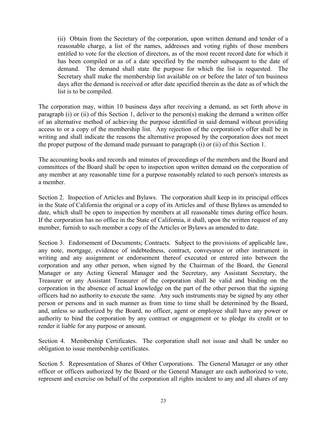(ii) Obtain from the Secretary of the corporation, upon written demand and tender of a reasonable charge, a list of the names, addresses and voting rights of those members entitled to vote for the election of directors, as of the most recent record date for which it has been compiled or as of a date specified by the member subsequent to the date of demand. The demand shall state the purpose for which the list is requested. The Secretary shall make the membership list available on or before the later of ten business days after the demand is received or after date specified therein as the date as of which the list is to be compiled.

The corporation may, within 10 business days after receiving a demand, as set forth above in paragraph (i) or (ii) of this Section 1, deliver to the person(s) making the demand a written offer of an alternative method of achieving the purpose identified in said demand without providing access to or a copy of the membership list. Any rejection of the corporation's offer shall be in writing and shall indicate the reasons the alternative proposed by the corporation does not meet the proper purpose of the demand made pursuant to paragraph (i) or (ii) of this Section 1.

The accounting books and records and minutes of proceedings of the members and the Board and committees of the Board shall be open to inspection upon written demand on the corporation of any member at any reasonable time for a purpose reasonably related to such person's interests as a member.

Section 2. Inspection of Articles and Bylaws. The corporation shall keep in its principal offices in the State of California the original or a copy of its Articles and of these Bylaws as amended to date, which shall be open to inspection by members at all reasonable times during office hours. If the corporation has no office in the State of California, it shall, upon the written request of any member, furnish to such member a copy of the Articles or Bylaws as amended to date.

Section 3. Endorsement of Documents; Contracts. Subject to the provisions of applicable law, any note, mortgage, evidence of indebtedness, contract, conveyance or other instrument in writing and any assignment or endorsement thereof executed or entered into between the corporation and any other person, when signed by the Chairman of the Board, the General Manager or any Acting General Manager and the Secretary, any Assistant Secretary, the Treasurer or any Assistant Treasurer of the corporation shall be valid and binding on the corporation in the absence of actual knowledge on the part of the other person that the signing officers had no authority to execute the same. Any such instruments may be signed by any other person or persons and in such manner as from time to time shall be determined by the Board, and, unless so authorized by the Board, no officer, agent or employee shall have any power or authority to bind the corporation by any contract or engagement or to pledge its credit or to render it liable for any purpose or amount.

Section 4. Membership Certificates. The corporation shall not issue and shall be under no obligation to issue membership certificates.

Section 5. Representation of Shares of Other Corporations. The General Manager or any other officer or officers authorized by the Board or the General Manager are each authorized to vote, represent and exercise on behalf of the corporation all rights incident to any and all shares of any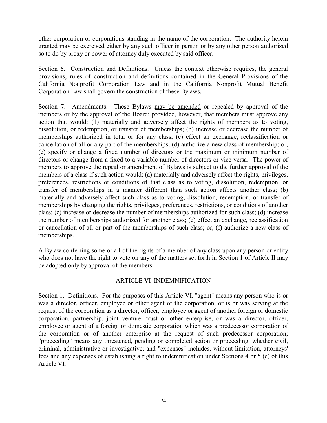other corporation or corporations standing in the name of the corporation. The authority herein granted may be exercised either by any such officer in person or by any other person authorized so to do by proxy or power of attorney duly executed by said officer.

Section 6. Construction and Definitions. Unless the context otherwise requires, the general provisions, rules of construction and definitions contained in the General Provisions of the California Nonprofit Corporation Law and in the California Nonprofit Mutual Benefit Corporation Law shall govern the construction of these Bylaws.

Section 7. Amendments. These Bylaws may be amended or repealed by approval of the members or by the approval of the Board; provided, however, that members must approve any action that would: (1) materially and adversely affect the rights of members as to voting, dissolution, or redemption, or transfer of memberships; (b) increase or decrease the number of memberships authorized in total or for any class; (c) effect an exchange, reclassification or cancellation of all or any part of the memberships; (d) authorize a new class of membership; or, (e) specify or change a fixed number of directors or the maximum or minimum number of directors or change from a fixed to a variable number of directors or vice versa. The power of members to approve the repeal or amendment of Bylaws is subject to the further approval of the members of a class if such action would: (a) materially and adversely affect the rights, privileges, preferences, restrictions or conditions of that class as to voting, dissolution, redemption, or transfer of memberships in a manner different than such action affects another class; (b) materially and adversely affect such class as to voting, dissolution, redemption, or transfer of memberships by changing the rights, privileges, preferences, restrictions, or conditions of another class; (c) increase or decrease the number of memberships authorized for such class; (d) increase the number of memberships authorized for another class; (e) effect an exchange, reclassification or cancellation of all or part of the memberships of such class; or, (f) authorize a new class of memberships.

A Bylaw conferring some or all of the rights of a member of any class upon any person or entity who does not have the right to vote on any of the matters set forth in Section 1 of Article II may be adopted only by approval of the members.

# ARTICLE VI INDEMNIFICATION

Section 1. Definitions. For the purposes of this Article VI, "agent" means any person who is or was a director, officer, employee or other agent of the corporation, or is or was serving at the request of the corporation as a director, officer, employee or agent of another foreign or domestic corporation, partnership, joint venture, trust or other enterprise, or was a director, officer, employee or agent of a foreign or domestic corporation which was a predecessor corporation of the corporation or of another enterprise at the request of such predecessor corporation; "proceeding" means any threatened, pending or completed action or proceeding, whether civil, criminal, administrative or investigative; and "expenses" includes, without limitation, attorneys' fees and any expenses of establishing a right to indemnification under Sections 4 or 5 (c) of this Article VI.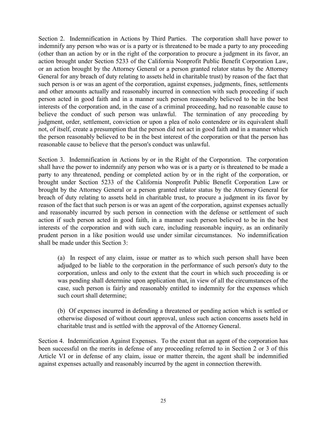Section 2. Indemnification in Actions by Third Parties. The corporation shall have power to indemnify any person who was or is a party or is threatened to be made a party to any proceeding (other than an action by or in the right of the corporation to procure a judgment in its favor, an action brought under Section 5233 of the California Nonprofit Public Benefit Corporation Law, or an action brought by the Attorney General or a person granted relator status by the Attorney General for any breach of duty relating to assets held in charitable trust) by reason of the fact that such person is or was an agent of the corporation, against expenses, judgments, fines, settlements and other amounts actually and reasonably incurred in connection with such proceeding if such person acted in good faith and in a manner such person reasonably believed to be in the best interests of the corporation and, in the case of a criminal proceeding, had no reasonable cause to believe the conduct of such person was unlawful. The termination of any proceeding by judgment, order, settlement, conviction or upon a plea of nolo contendere or its equivalent shall not, of itself, create a presumption that the person did not act in good faith and in a manner which the person reasonably believed to be in the best interest of the corporation or that the person has reasonable cause to believe that the person's conduct was unlawful.

Section 3. Indemnification in Actions by or in the Right of the Corporation. The corporation shall have the power to indemnify any person who was or is a party or is threatened to be made a party to any threatened, pending or completed action by or in the right of the corporation, or brought under Section 5233 of the California Nonprofit Public Benefit Corporation Law or brought by the Attorney General or a person granted relator status by the Attorney General for breach of duty relating to assets held in charitable trust, to procure a judgment in its favor by reason of the fact that such person is or was an agent of the corporation, against expenses actually and reasonably incurred by such person in connection with the defense or settlement of such action if such person acted in good faith, in a manner such person believed to be in the best interests of the corporation and with such care, including reasonable inquiry, as an ordinarily prudent person in a like position would use under similar circumstances. No indemnification shall be made under this Section 3:

(a) In respect of any claim, issue or matter as to which such person shall have been adjudged to be liable to the corporation in the performance of such person's duty to the corporation, unless and only to the extent that the court in which such proceeding is or was pending shall determine upon application that, in view of all the circumstances of the case, such person is fairly and reasonably entitled to indemnity for the expenses which such court shall determine;

(b) Of expenses incurred in defending a threatened or pending action which is settled or otherwise disposed of without court approval, unless such action concerns assets held in charitable trust and is settled with the approval of the Attorney General.

Section 4. Indemnification Against Expenses. To the extent that an agent of the corporation has been successful on the merits in defense of any proceeding referred to in Section 2 or 3 of this Article VI or in defense of any claim, issue or matter therein, the agent shall be indemnified against expenses actually and reasonably incurred by the agent in connection therewith.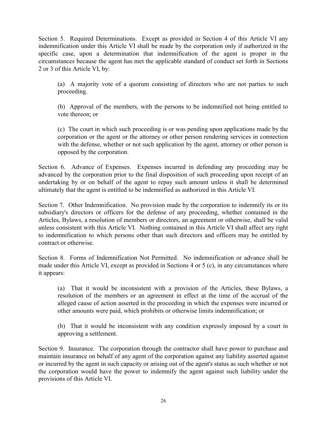Section 5. Required Determinations. Except as provided in Section 4 of this Article VI any indemnification under this Article VI shall be made by the corporation only if authorized in the specific case, upon a determination that indemnification of the agent is proper in the circumstances because the agent has met the applicable standard of conduct set forth in Sections 2 or 3 of this Article VI, by:

(a) A majority vote of a quorum consisting of directors who are not parties to such proceeding.

(b) Approval of the members, with the persons to be indemnified not being entitled to vote thereon; or

(c) The court in which such proceeding is or was pending upon applications made by the corporation or the agent or the attorney or other person rendering services in connection with the defense, whether or not such application by the agent, attorney or other person is opposed by the corporation.

Section 6. Advance of Expenses. Expenses incurred in defending any proceeding may be advanced by the corporation prior to the final disposition of such proceeding upon receipt of an undertaking by or on behalf of the agent to repay such amount unless it shall be determined ultimately that the agent is entitled to be indemnified as authorized in this Article VI.

Section 7. Other Indemnification. No provision made by the corporation to indemnify its or its subsidiary's directors or officers for the defense of any proceeding, whether contained in the Articles, Bylaws, a resolution of members or directors, an agreement or otherwise, shall be valid unless consistent with this Article VI. Nothing contained in this Article VI shall affect any right to indemnification to which persons other than such directors and officers may be entitled by contract or otherwise.

Section 8. Forms of Indemnification Not Permitted. No indemnification or advance shall be made under this Article VI, except as provided in Sections 4 or 5 (c), in any circumstances where it appears:

(a) That it would be inconsistent with a provision of the Articles, these Bylaws, a resolution of the members or an agreement in effect at the time of the accrual of the alleged cause of action asserted in the proceeding in which the expenses were incurred or other amounts were paid, which prohibits or otherwise limits indemnification; or

(b) That it would be inconsistent with any condition expressly imposed by a court in approving a settlement.

Section 9. Insurance. The corporation through the contractor shall have power to purchase and maintain insurance on behalf of any agent of the corporation against any liability asserted against or incurred by the agent in such capacity or arising out of the agent's status as such whether or not the corporation would have the power to indemnify the agent against such liability under the provisions of this Article VI.